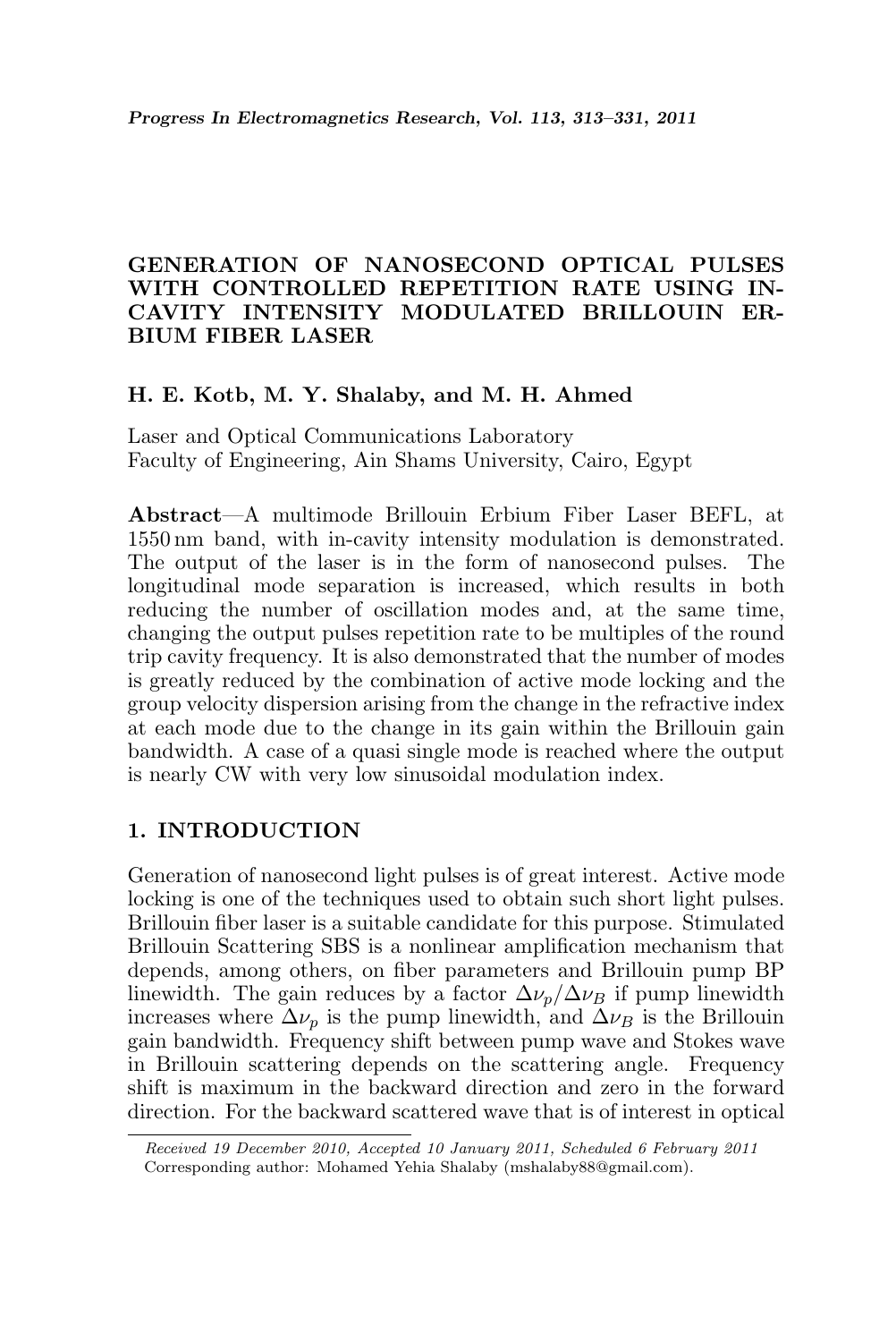## GENERATION OF NANOSECOND OPTICAL PULSES WITH CONTROLLED REPETITION RATE USING IN-CAVITY INTENSITY MODULATED BRILLOUIN ER-BIUM FIBER LASER

#### H. E. Kotb, M. Y. Shalaby, and M. H. Ahmed

Laser and Optical Communications Laboratory Faculty of Engineering, Ain Shams University, Cairo, Egypt

Abstract—A multimode Brillouin Erbium Fiber Laser BEFL, at 1550 nm band, with in-cavity intensity modulation is demonstrated. The output of the laser is in the form of nanosecond pulses. The longitudinal mode separation is increased, which results in both reducing the number of oscillation modes and, at the same time, changing the output pulses repetition rate to be multiples of the round trip cavity frequency. It is also demonstrated that the number of modes is greatly reduced by the combination of active mode locking and the group velocity dispersion arising from the change in the refractive index at each mode due to the change in its gain within the Brillouin gain bandwidth. A case of a quasi single mode is reached where the output is nearly CW with very low sinusoidal modulation index.

### 1. INTRODUCTION

Generation of nanosecond light pulses is of great interest. Active mode locking is one of the techniques used to obtain such short light pulses. Brillouin fiber laser is a suitable candidate for this purpose. Stimulated Brillouin Scattering SBS is a nonlinear amplification mechanism that depends, among others, on fiber parameters and Brillouin pump BP linewidth. The gain reduces by a factor  $\Delta\nu_p/\Delta\nu_B$  if pump linewidth increases where  $\Delta \nu_n$  is the pump linewidth, and  $\Delta \nu_B$  is the Brillouin gain bandwidth. Frequency shift between pump wave and Stokes wave in Brillouin scattering depends on the scattering angle. Frequency shift is maximum in the backward direction and zero in the forward direction. For the backward scattered wave that is of interest in optical

Received 19 December 2010, Accepted 10 January 2011, Scheduled 6 February 2011 Corresponding author: Mohamed Yehia Shalaby (mshalaby88@gmail.com).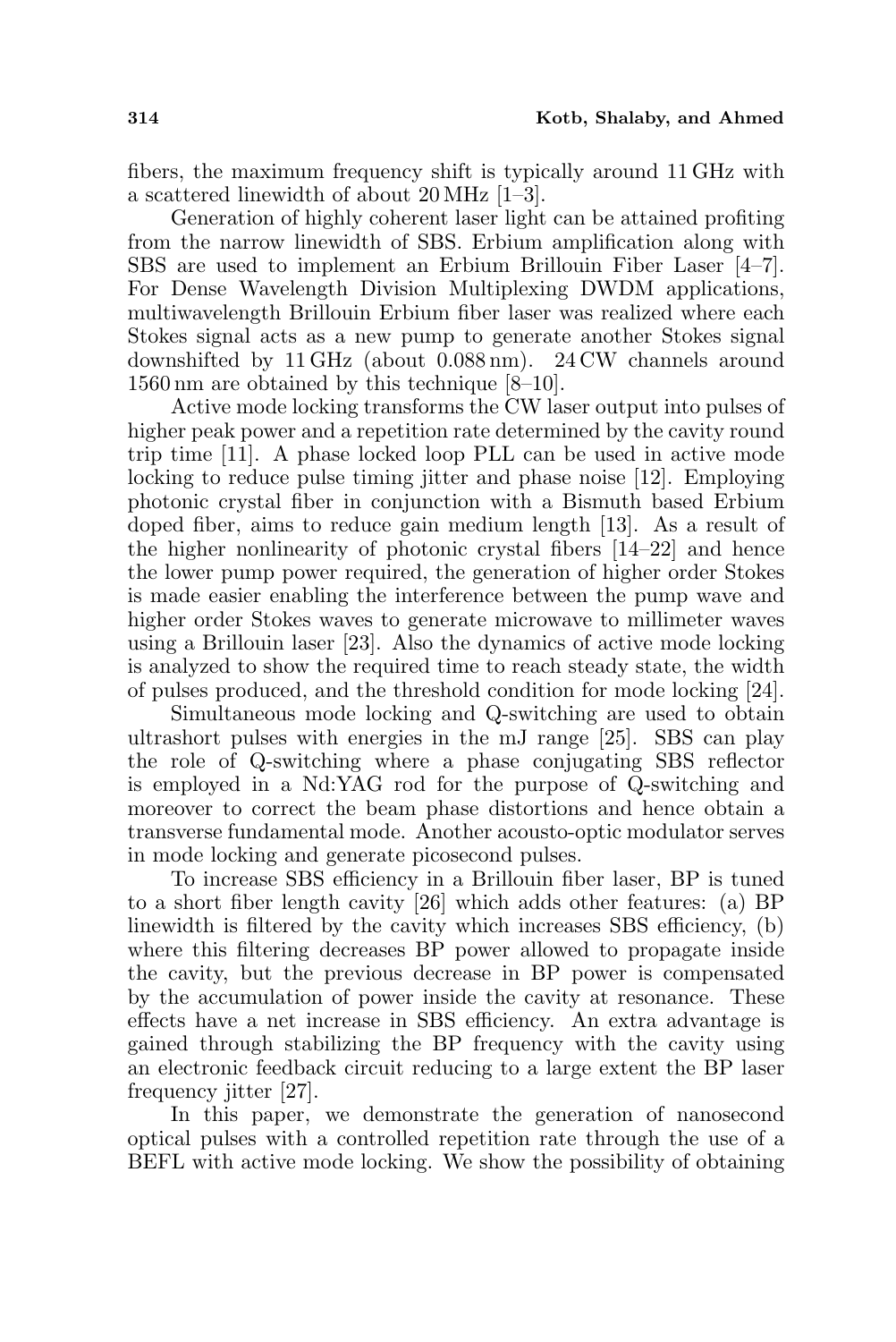fibers, the maximum frequency shift is typically around 11 GHz with a scattered linewidth of about 20 MHz [1–3].

Generation of highly coherent laser light can be attained profiting from the narrow linewidth of SBS. Erbium amplification along with SBS are used to implement an Erbium Brillouin Fiber Laser [4–7]. For Dense Wavelength Division Multiplexing DWDM applications, multiwavelength Brillouin Erbium fiber laser was realized where each Stokes signal acts as a new pump to generate another Stokes signal downshifted by 11 GHz (about 0.088 nm). 24 CW channels around 1560 nm are obtained by this technique [8–10].

Active mode locking transforms the CW laser output into pulses of higher peak power and a repetition rate determined by the cavity round trip time [11]. A phase locked loop PLL can be used in active mode locking to reduce pulse timing jitter and phase noise [12]. Employing photonic crystal fiber in conjunction with a Bismuth based Erbium doped fiber, aims to reduce gain medium length [13]. As a result of the higher nonlinearity of photonic crystal fibers [14–22] and hence the lower pump power required, the generation of higher order Stokes is made easier enabling the interference between the pump wave and higher order Stokes waves to generate microwave to millimeter waves using a Brillouin laser [23]. Also the dynamics of active mode locking is analyzed to show the required time to reach steady state, the width of pulses produced, and the threshold condition for mode locking [24].

Simultaneous mode locking and Q-switching are used to obtain ultrashort pulses with energies in the mJ range [25]. SBS can play the role of Q-switching where a phase conjugating SBS reflector is employed in a Nd:YAG rod for the purpose of Q-switching and moreover to correct the beam phase distortions and hence obtain a transverse fundamental mode. Another acousto-optic modulator serves in mode locking and generate picosecond pulses.

To increase SBS efficiency in a Brillouin fiber laser, BP is tuned to a short fiber length cavity [26] which adds other features: (a) BP linewidth is filtered by the cavity which increases SBS efficiency, (b) where this filtering decreases BP power allowed to propagate inside the cavity, but the previous decrease in BP power is compensated by the accumulation of power inside the cavity at resonance. These effects have a net increase in SBS efficiency. An extra advantage is gained through stabilizing the BP frequency with the cavity using an electronic feedback circuit reducing to a large extent the BP laser frequency jitter [27].

In this paper, we demonstrate the generation of nanosecond optical pulses with a controlled repetition rate through the use of a BEFL with active mode locking. We show the possibility of obtaining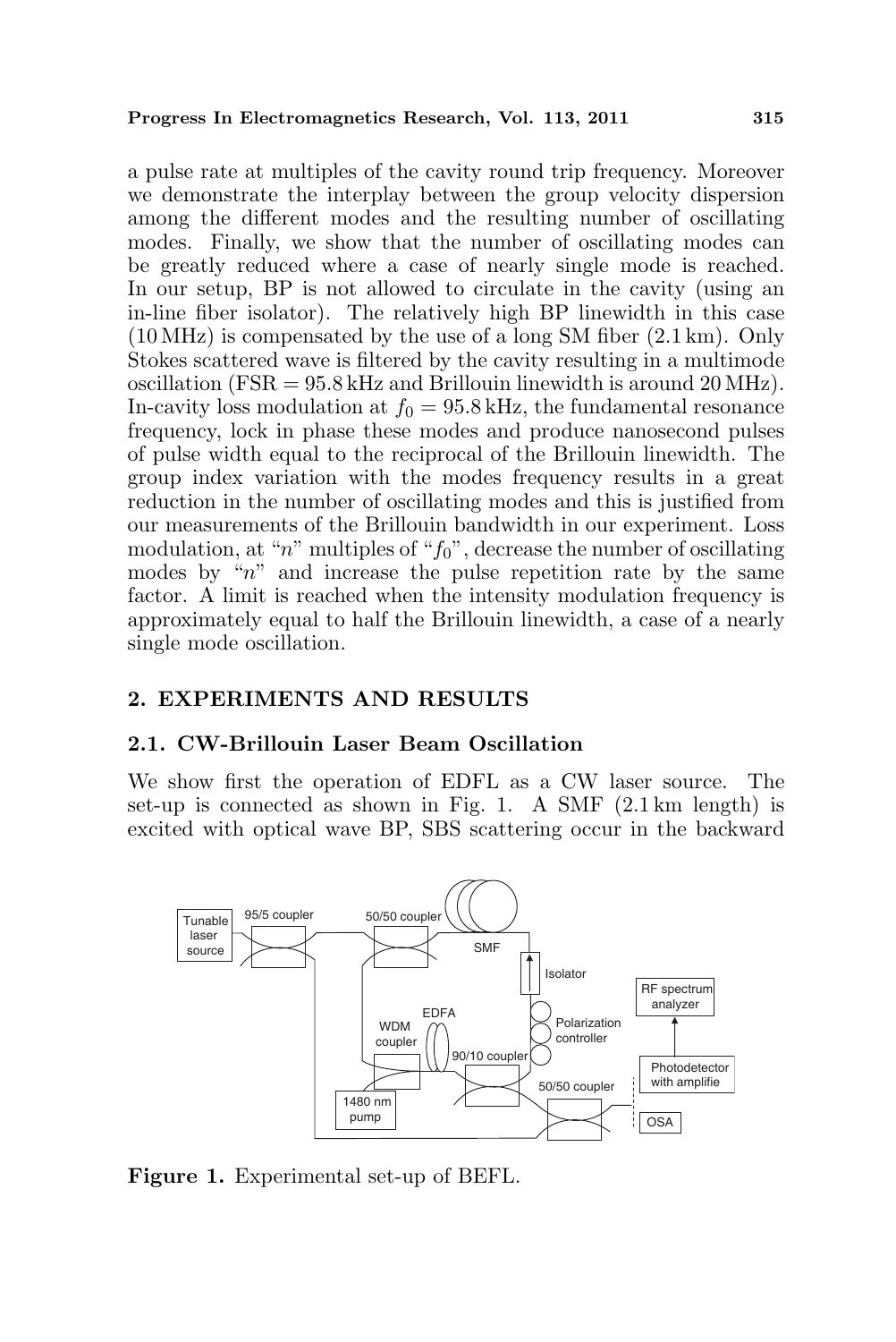a pulse rate at multiples of the cavity round trip frequency. Moreover we demonstrate the interplay between the group velocity dispersion among the different modes and the resulting number of oscillating modes. Finally, we show that the number of oscillating modes can be greatly reduced where a case of nearly single mode is reached. In our setup, BP is not allowed to circulate in the cavity (using an in-line fiber isolator). The relatively high BP linewidth in this case (10 MHz) is compensated by the use of a long SM fiber (2.1 km). Only Stokes scattered wave is filtered by the cavity resulting in a multimode oscillation  $(FSR = 95.8 \text{ kHz}$  and Brillouin linewidth is around  $20 \text{ MHz}$ . In-cavity loss modulation at  $f_0 = 95.8 \text{ kHz}$ , the fundamental resonance frequency, lock in phase these modes and produce nanosecond pulses of pulse width equal to the reciprocal of the Brillouin linewidth. The group index variation with the modes frequency results in a great reduction in the number of oscillating modes and this is justified from our measurements of the Brillouin bandwidth in our experiment. Loss modulation, at "n" multiples of " $f_0$ ", decrease the number of oscillating modes by " $n$ " and increase the pulse repetition rate by the same factor. A limit is reached when the intensity modulation frequency is approximately equal to half the Brillouin linewidth, a case of a nearly single mode oscillation.

#### 2. EXPERIMENTS AND RESULTS

#### 2.1. CW-Brillouin Laser Beam Oscillation

We show first the operation of EDFL as a CW laser source. The set-up is connected as shown in Fig. 1. A SMF (2.1 km length) is excited with optical wave BP, SBS scattering occur in the backward



Figure 1. Experimental set-up of BEFL.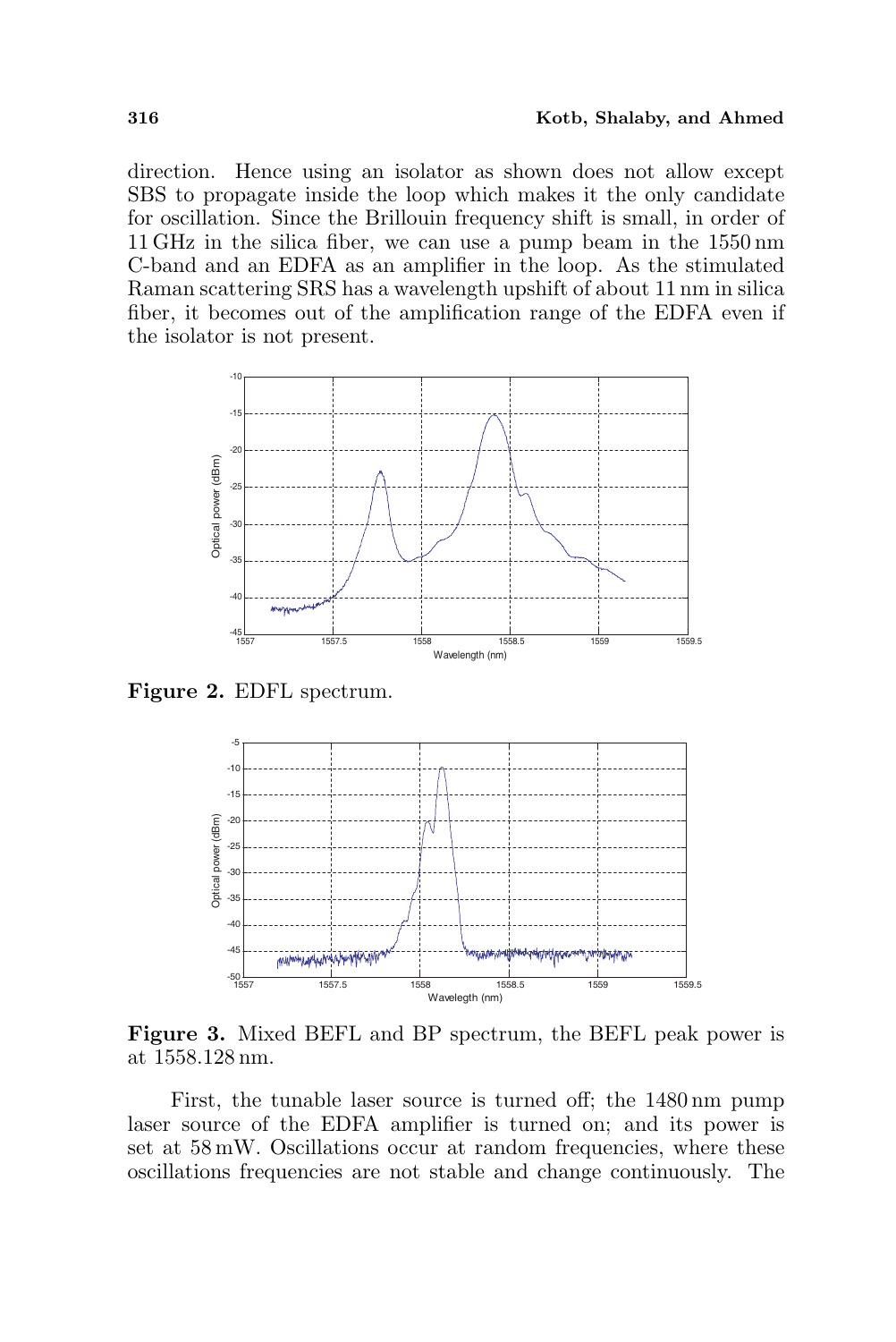direction. Hence using an isolator as shown does not allow except SBS to propagate inside the loop which makes it the only candidate for oscillation. Since the Brillouin frequency shift is small, in order of 11 GHz in the silica fiber, we can use a pump beam in the 1550 nm C-band and an EDFA as an amplifier in the loop. As the stimulated Raman scattering SRS has a wavelength upshift of about 11 nm in silica fiber, it becomes out of the amplification range of the EDFA even if the isolator is not present.



Figure 2. EDFL spectrum.



Figure 3. Mixed BEFL and BP spectrum, the BEFL peak power is at 1558.128 nm.

First, the tunable laser source is turned off; the 1480 nm pump laser source of the EDFA amplifier is turned on; and its power is set at 58 mW. Oscillations occur at random frequencies, where these oscillations frequencies are not stable and change continuously. The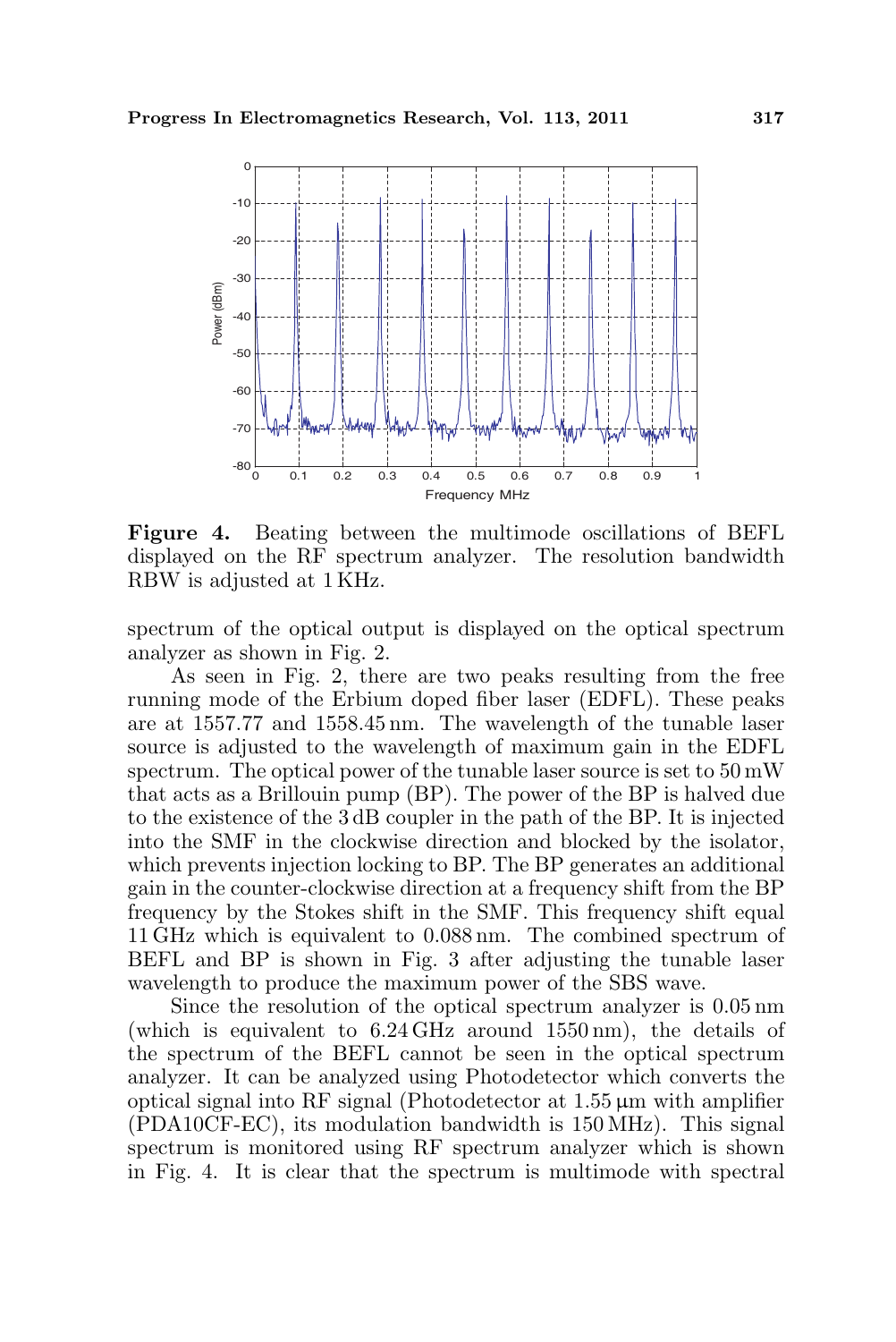

Figure 4. Beating between the multimode oscillations of BEFL displayed on the RF spectrum analyzer. The resolution bandwidth RBW is adjusted at 1 KHz.

spectrum of the optical output is displayed on the optical spectrum analyzer as shown in Fig. 2.

As seen in Fig. 2, there are two peaks resulting from the free running mode of the Erbium doped fiber laser (EDFL). These peaks are at 1557.77 and 1558.45 nm. The wavelength of the tunable laser source is adjusted to the wavelength of maximum gain in the EDFL spectrum. The optical power of the tunable laser source is set to 50 mW that acts as a Brillouin pump (BP). The power of the BP is halved due to the existence of the 3 dB coupler in the path of the BP. It is injected into the SMF in the clockwise direction and blocked by the isolator, which prevents injection locking to BP. The BP generates an additional gain in the counter-clockwise direction at a frequency shift from the BP frequency by the Stokes shift in the SMF. This frequency shift equal 11 GHz which is equivalent to 0.088 nm. The combined spectrum of BEFL and BP is shown in Fig. 3 after adjusting the tunable laser wavelength to produce the maximum power of the SBS wave.

Since the resolution of the optical spectrum analyzer is 0.05 nm (which is equivalent to 6.24 GHz around 1550 nm), the details of the spectrum of the BEFL cannot be seen in the optical spectrum analyzer. It can be analyzed using Photodetector which converts the optical signal into RF signal (Photodetector at 1.55 µm with amplifier (PDA10CF-EC), its modulation bandwidth is 150 MHz). This signal spectrum is monitored using RF spectrum analyzer which is shown in Fig. 4. It is clear that the spectrum is multimode with spectral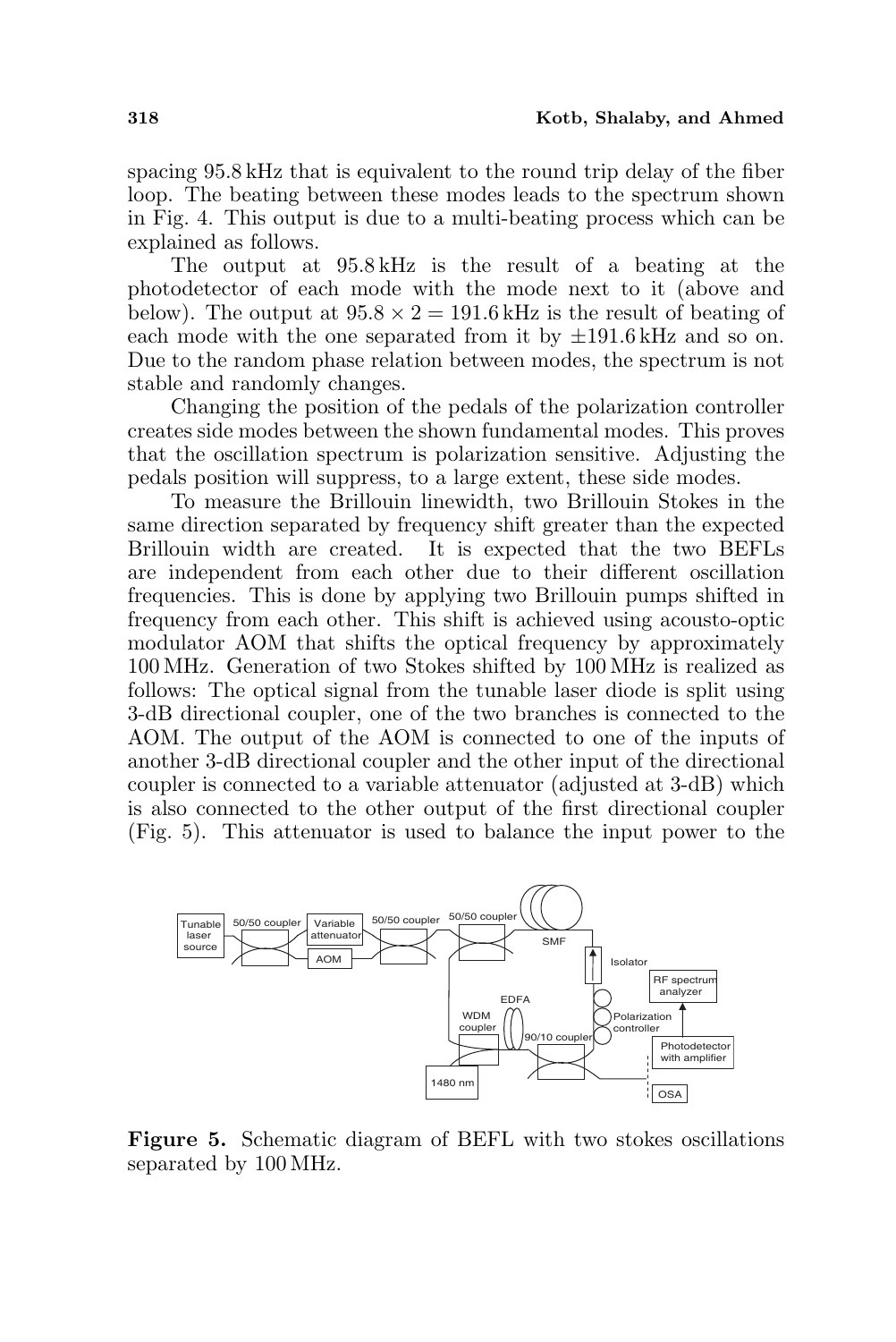spacing 95.8 kHz that is equivalent to the round trip delay of the fiber loop. The beating between these modes leads to the spectrum shown in Fig. 4. This output is due to a multi-beating process which can be explained as follows.

The output at 95.8 kHz is the result of a beating at the photodetector of each mode with the mode next to it (above and below). The output at  $95.8 \times 2 = 191.6$  kHz is the result of beating of each mode with the one separated from it by  $\pm 191.6$  kHz and so on. Due to the random phase relation between modes, the spectrum is not stable and randomly changes.

Changing the position of the pedals of the polarization controller creates side modes between the shown fundamental modes. This proves that the oscillation spectrum is polarization sensitive. Adjusting the pedals position will suppress, to a large extent, these side modes.

To measure the Brillouin linewidth, two Brillouin Stokes in the same direction separated by frequency shift greater than the expected Brillouin width are created. It is expected that the two BEFLs are independent from each other due to their different oscillation frequencies. This is done by applying two Brillouin pumps shifted in frequency from each other. This shift is achieved using acousto-optic modulator AOM that shifts the optical frequency by approximately 100 MHz. Generation of two Stokes shifted by 100 MHz is realized as follows: The optical signal from the tunable laser diode is split using 3-dB directional coupler, one of the two branches is connected to the AOM. The output of the AOM is connected to one of the inputs of another 3-dB directional coupler and the other input of the directional coupler is connected to a variable attenuator (adjusted at 3-dB) which is also connected to the other output of the first directional coupler (Fig. 5). This attenuator is used to balance the input power to the



Figure 5. Schematic diagram of BEFL with two stokes oscillations separated by 100 MHz.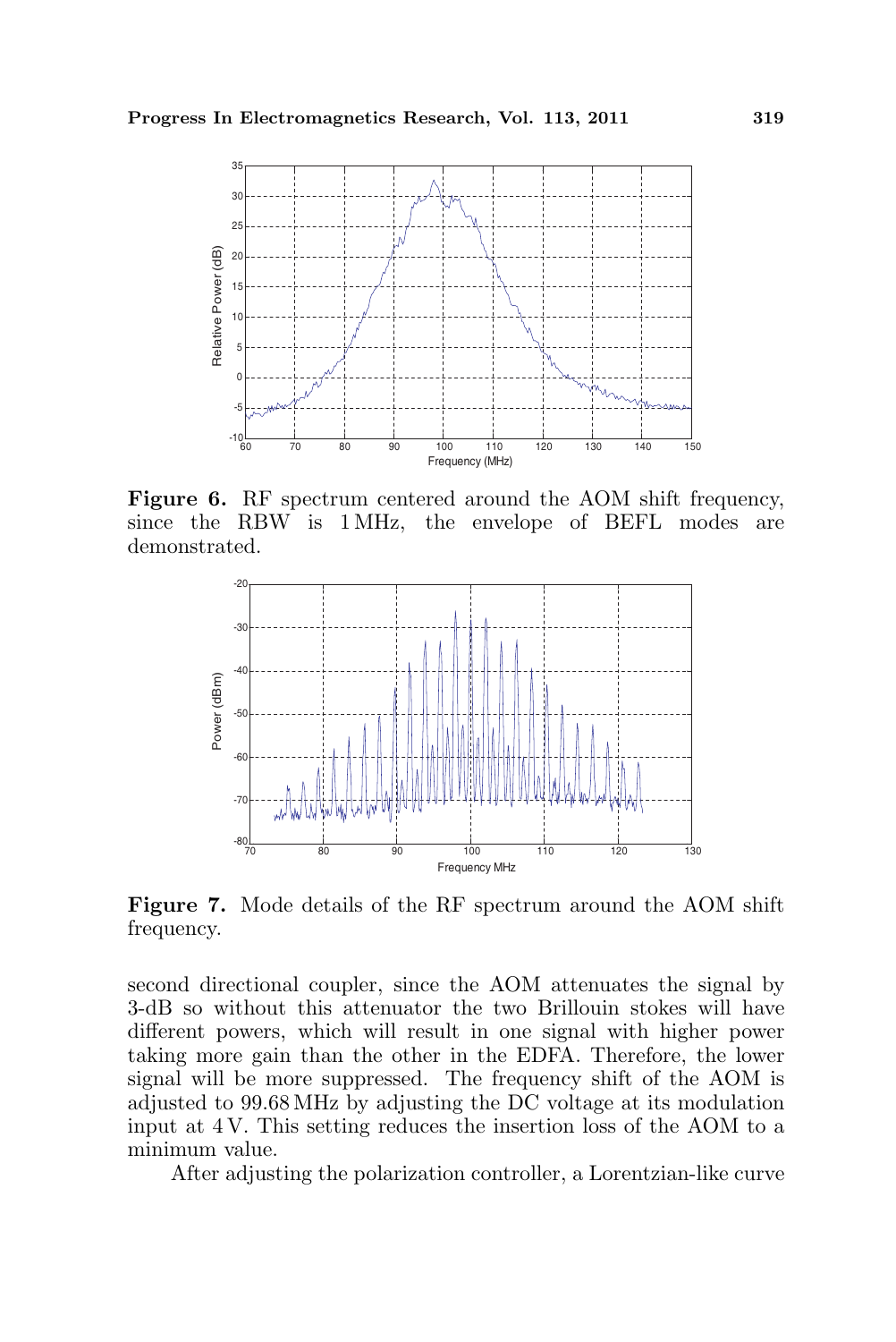

Figure 6. RF spectrum centered around the AOM shift frequency, since the RBW is 1 MHz, the envelope of BEFL modes are demonstrated.



Figure 7. Mode details of the RF spectrum around the AOM shift frequency.

second directional coupler, since the AOM attenuates the signal by 3-dB so without this attenuator the two Brillouin stokes will have different powers, which will result in one signal with higher power taking more gain than the other in the EDFA. Therefore, the lower signal will be more suppressed. The frequency shift of the AOM is adjusted to 99.68 MHz by adjusting the DC voltage at its modulation input at 4 V. This setting reduces the insertion loss of the AOM to a minimum value.

After adjusting the polarization controller, a Lorentzian-like curve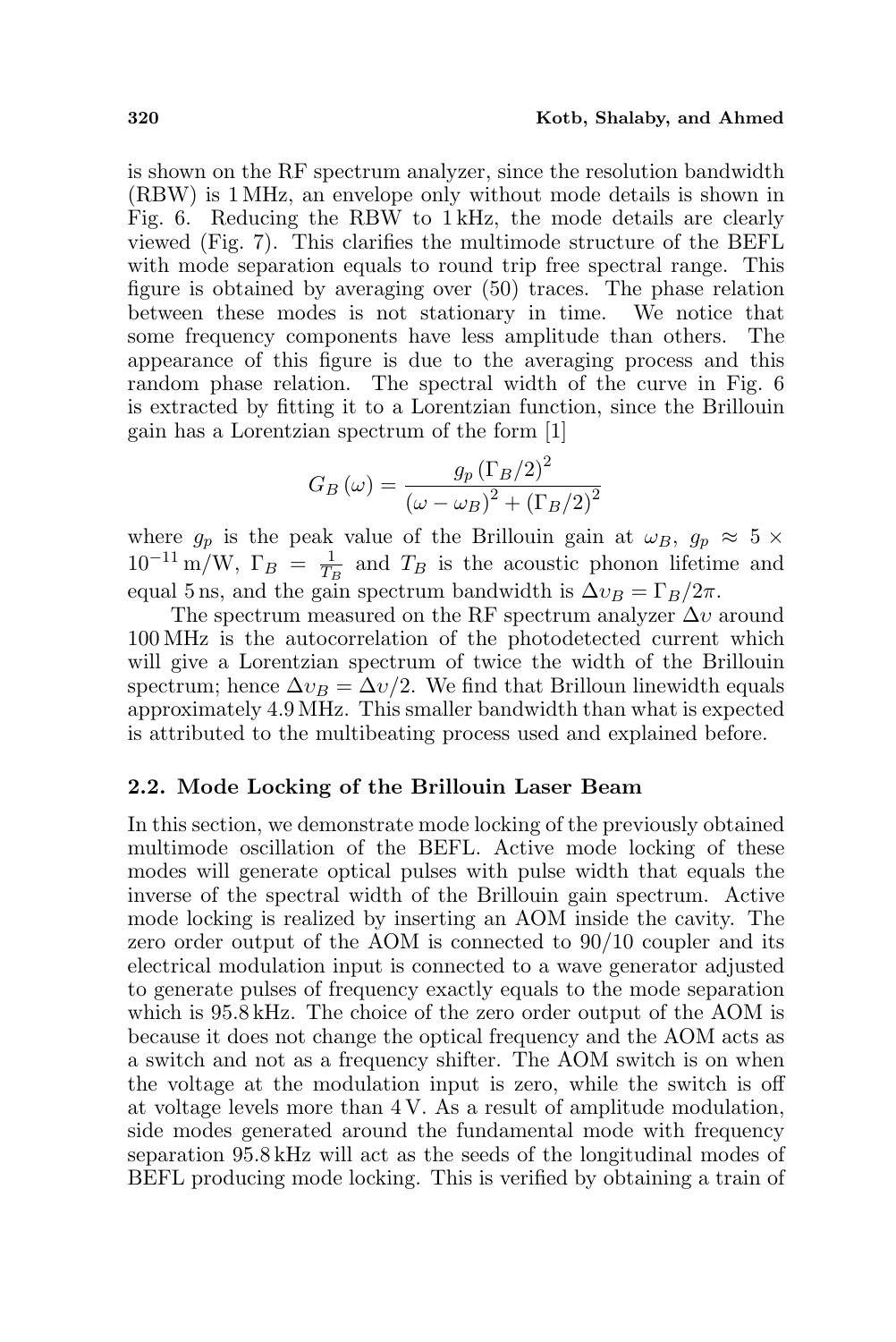is shown on the RF spectrum analyzer, since the resolution bandwidth (RBW) is 1 MHz, an envelope only without mode details is shown in Fig. 6. Reducing the RBW to 1 kHz, the mode details are clearly viewed (Fig. 7). This clarifies the multimode structure of the BEFL with mode separation equals to round trip free spectral range. This figure is obtained by averaging over (50) traces. The phase relation between these modes is not stationary in time. We notice that some frequency components have less amplitude than others. The appearance of this figure is due to the averaging process and this random phase relation. The spectral width of the curve in Fig. 6 is extracted by fitting it to a Lorentzian function, since the Brillouin gain has a Lorentzian spectrum of the form [1]

$$
G_B(\omega) = \frac{g_p(\Gamma_B/2)^2}{(\omega - \omega_B)^2 + (\Gamma_B/2)^2}
$$

where  $g_p$  is the peak value of the Brillouin gain at  $\omega_B$ ,  $g_p \approx 5 \times$  $10^{-11} \text{ m/W}, \Gamma_B = \frac{1}{T_B}$  $\frac{1}{T_B}$  and  $T_B$  is the acoustic phonon lifetime and equal 5 ns, and the gain spectrum bandwidth is  $\Delta v_B = \Gamma_B/2\pi$ .

The spectrum measured on the RF spectrum analyzer  $\Delta v$  around 100 MHz is the autocorrelation of the photodetected current which will give a Lorentzian spectrum of twice the width of the Brillouin spectrum; hence  $\Delta v_B = \Delta v/2$ . We find that Brilloun linewidth equals approximately 4.9 MHz. This smaller bandwidth than what is expected is attributed to the multibeating process used and explained before.

#### 2.2. Mode Locking of the Brillouin Laser Beam

In this section, we demonstrate mode locking of the previously obtained multimode oscillation of the BEFL. Active mode locking of these modes will generate optical pulses with pulse width that equals the inverse of the spectral width of the Brillouin gain spectrum. Active mode locking is realized by inserting an AOM inside the cavity. The zero order output of the AOM is connected to 90/10 coupler and its electrical modulation input is connected to a wave generator adjusted to generate pulses of frequency exactly equals to the mode separation which is 95.8 kHz. The choice of the zero order output of the AOM is because it does not change the optical frequency and the AOM acts as a switch and not as a frequency shifter. The AOM switch is on when the voltage at the modulation input is zero, while the switch is off at voltage levels more than 4 V. As a result of amplitude modulation, side modes generated around the fundamental mode with frequency separation 95.8 kHz will act as the seeds of the longitudinal modes of BEFL producing mode locking. This is verified by obtaining a train of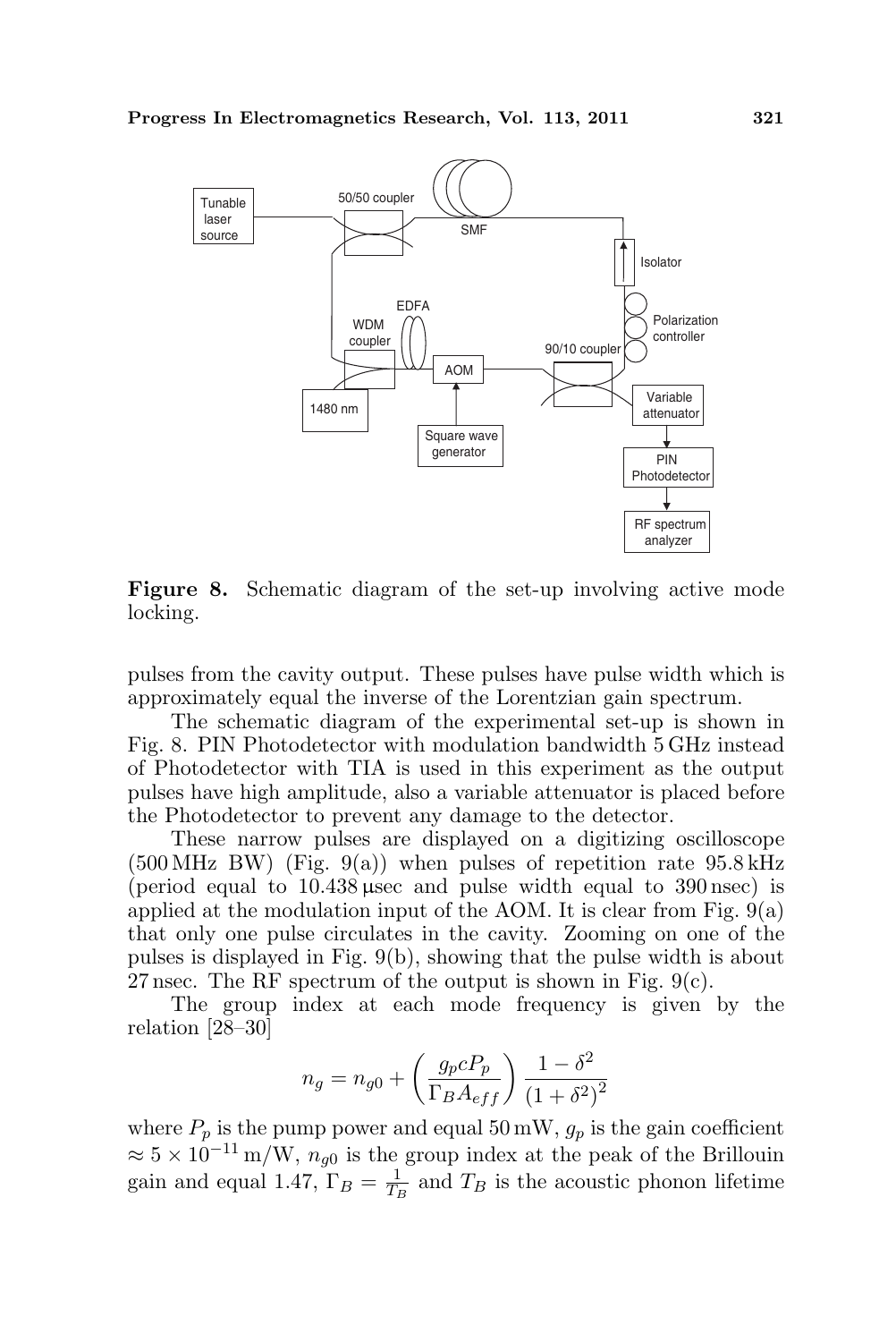

Figure 8. Schematic diagram of the set-up involving active mode locking.

pulses from the cavity output. These pulses have pulse width which is approximately equal the inverse of the Lorentzian gain spectrum.

The schematic diagram of the experimental set-up is shown in Fig. 8. PIN Photodetector with modulation bandwidth 5 GHz instead of Photodetector with TIA is used in this experiment as the output pulses have high amplitude, also a variable attenuator is placed before the Photodetector to prevent any damage to the detector.

These narrow pulses are displayed on a digitizing oscilloscope  $(500 \text{ MHz}$  BW) (Fig. 9(a)) when pulses of repetition rate 95.8 kHz (period equal to  $10.438 \mu$ sec and pulse width equal to  $390 \text{ nsec}$ ) is applied at the modulation input of the AOM. It is clear from Fig.  $9(a)$ that only one pulse circulates in the cavity. Zooming on one of the pulses is displayed in Fig. 9(b), showing that the pulse width is about 27 nsec. The RF spectrum of the output is shown in Fig.  $9(c)$ .

The group index at each mode frequency is given by the relation [28–30]

$$
n_g = n_{g0} + \left(\frac{g_p c P_p}{\Gamma_B A_{eff}}\right) \frac{1 - \delta^2}{\left(1 + \delta^2\right)^2}
$$

where  $P_p$  is the pump power and equal 50 mW,  $g_p$  is the gain coefficient  $\approx$  5 × 10<sup>-11</sup> m/W,  $n_{g0}$  is the group index at the peak of the Brillouin gain and equal 1.47,  $\Gamma_B = \frac{1}{T_B}$  $\frac{1}{T_B}$  and  $T_B$  is the acoustic phonon lifetime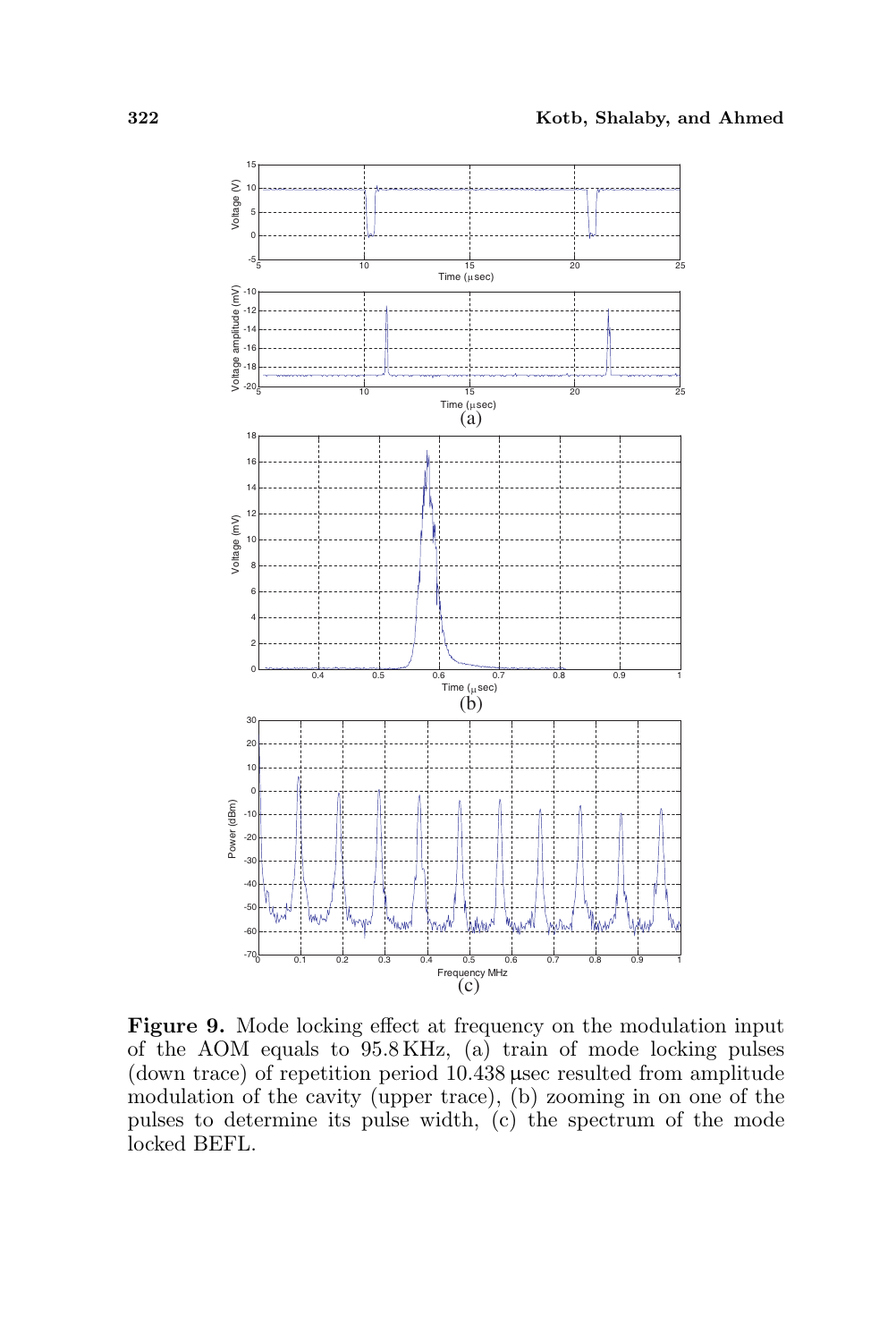

Figure 9. Mode locking effect at frequency on the modulation input of the AOM equals to 95.8 KHz, (a) train of mode locking pulses (down trace) of repetition period 10.438 µsec resulted from amplitude modulation of the cavity (upper trace), (b) zooming in on one of the pulses to determine its pulse width, (c) the spectrum of the mode locked BEFL.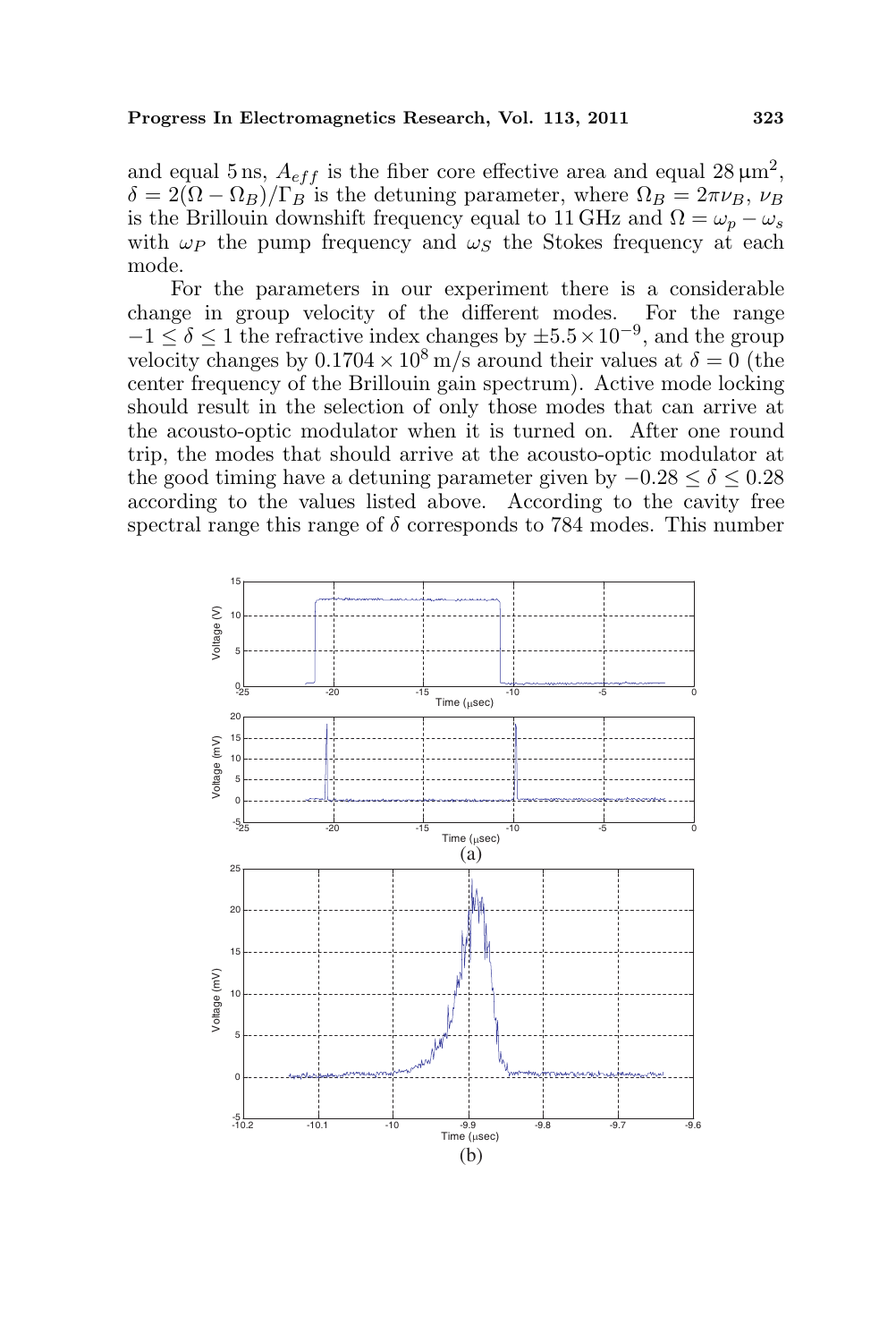and equal 5 ns,  $A_{eff}$  is the fiber core effective area and equal 28  $\mu$ m<sup>2</sup>,  $\delta = 2(\Omega - \Omega_B)/\Gamma_B$  is the detuning parameter, where  $\Omega_B = 2\pi \nu_B$ ,  $\nu_B$ is the Brillouin downshift frequency equal to 11 GHz and  $\Omega = \omega_p - \omega_s$ with  $\omega_P$  the pump frequency and  $\omega_S$  the Stokes frequency at each mode.

For the parameters in our experiment there is a considerable change in group velocity of the different modes. For the range  $-1 \leq \delta \leq 1$  the refractive index changes by  $\pm 5.5 \times 10^{-9}$ , and the group velocity changes by  $0.1704 \times 10^8$  m/s around their values at  $\delta = 0$  (the center frequency of the Brillouin gain spectrum). Active mode locking should result in the selection of only those modes that can arrive at the acousto-optic modulator when it is turned on. After one round trip, the modes that should arrive at the acousto-optic modulator at the good timing have a detuning parameter given by  $-0.28 \le \delta \le 0.28$ according to the values listed above. According to the cavity free spectral range this range of  $\delta$  corresponds to 784 modes. This number

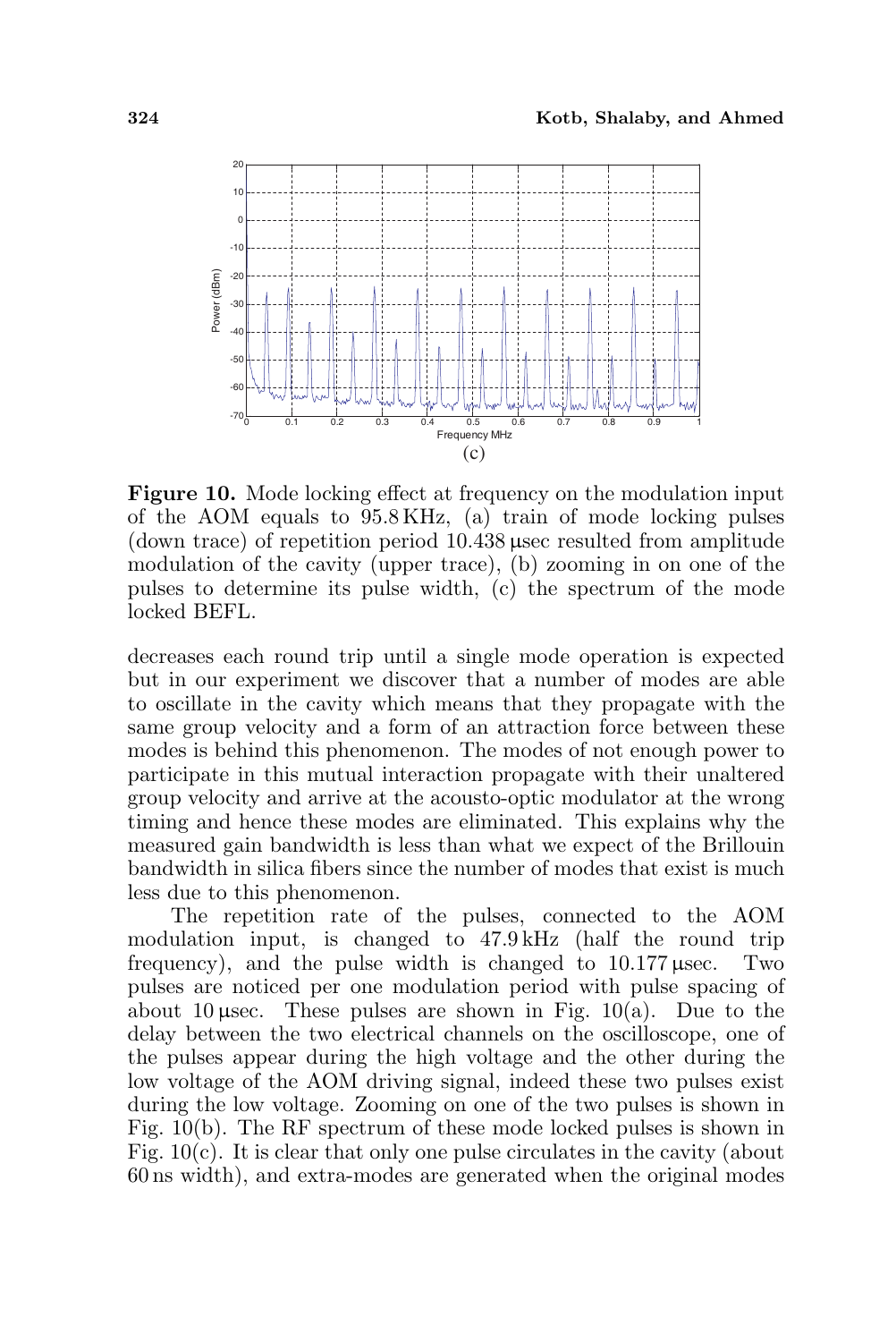

Figure 10. Mode locking effect at frequency on the modulation input of the AOM equals to 95.8 KHz, (a) train of mode locking pulses (down trace) of repetition period 10.438 µsec resulted from amplitude modulation of the cavity (upper trace), (b) zooming in on one of the pulses to determine its pulse width, (c) the spectrum of the mode locked BEFL.

decreases each round trip until a single mode operation is expected but in our experiment we discover that a number of modes are able to oscillate in the cavity which means that they propagate with the same group velocity and a form of an attraction force between these modes is behind this phenomenon. The modes of not enough power to participate in this mutual interaction propagate with their unaltered group velocity and arrive at the acousto-optic modulator at the wrong timing and hence these modes are eliminated. This explains why the measured gain bandwidth is less than what we expect of the Brillouin bandwidth in silica fibers since the number of modes that exist is much less due to this phenomenon.

The repetition rate of the pulses, connected to the AOM modulation input, is changed to 47.9 kHz (half the round trip frequency), and the pulse width is changed to  $10.177 \mu$ sec. Two pulses are noticed per one modulation period with pulse spacing of about 10 µsec. These pulses are shown in Fig.  $10(a)$ . Due to the delay between the two electrical channels on the oscilloscope, one of the pulses appear during the high voltage and the other during the low voltage of the AOM driving signal, indeed these two pulses exist during the low voltage. Zooming on one of the two pulses is shown in Fig. 10(b). The RF spectrum of these mode locked pulses is shown in Fig.  $10(c)$ . It is clear that only one pulse circulates in the cavity (about 60 ns width), and extra-modes are generated when the original modes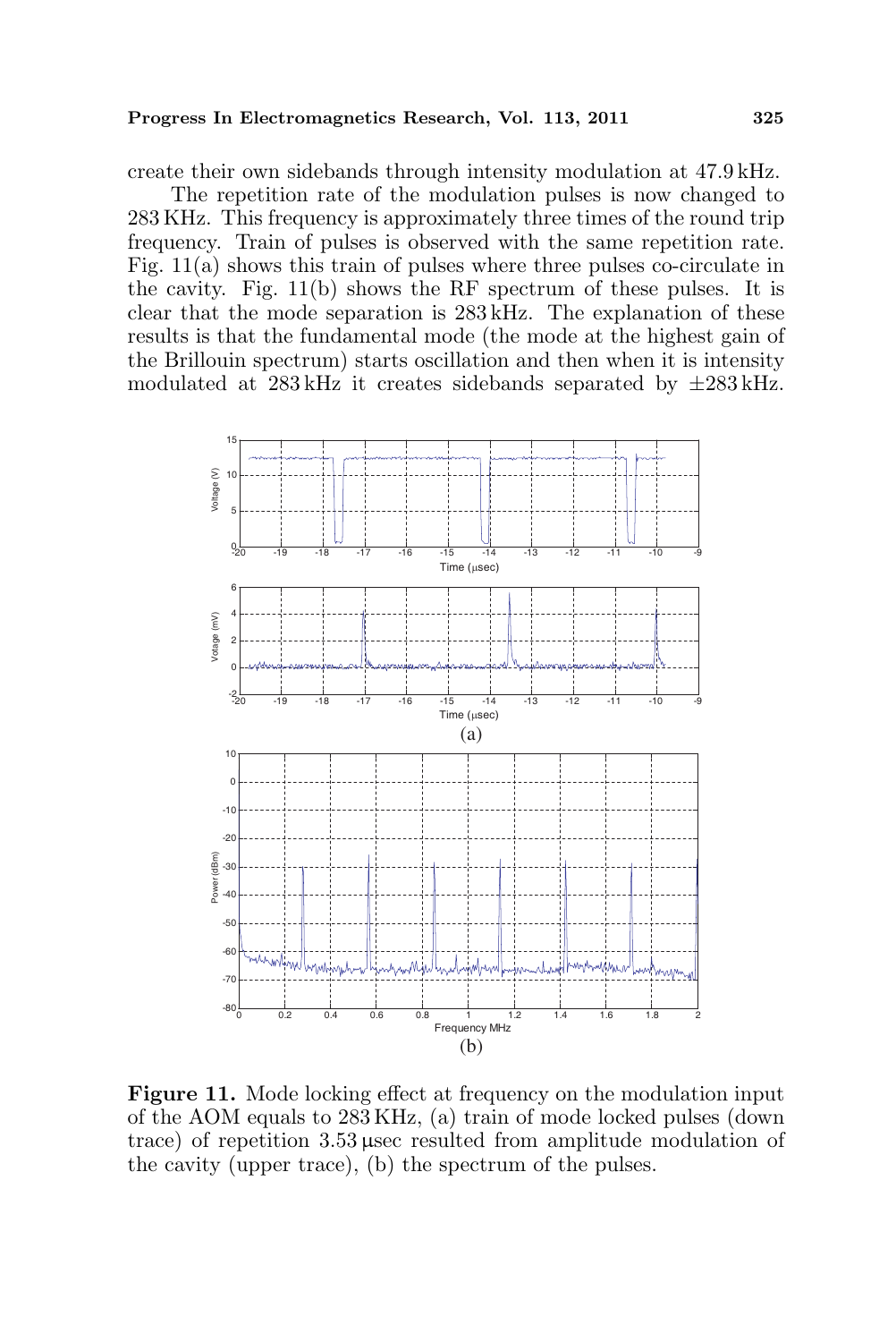create their own sidebands through intensity modulation at 47.9 kHz.

The repetition rate of the modulation pulses is now changed to 283 KHz. This frequency is approximately three times of the round trip frequency. Train of pulses is observed with the same repetition rate. Fig. 11(a) shows this train of pulses where three pulses co-circulate in the cavity. Fig. 11(b) shows the RF spectrum of these pulses. It is clear that the mode separation is 283 kHz. The explanation of these results is that the fundamental mode (the mode at the highest gain of the Brillouin spectrum) starts oscillation and then when it is intensity modulated at 283 kHz it creates sidebands separated by ±283 kHz.



Figure 11. Mode locking effect at frequency on the modulation input of the AOM equals to 283 KHz, (a) train of mode locked pulses (down trace) of repetition 3.53 µsec resulted from amplitude modulation of the cavity (upper trace), (b) the spectrum of the pulses.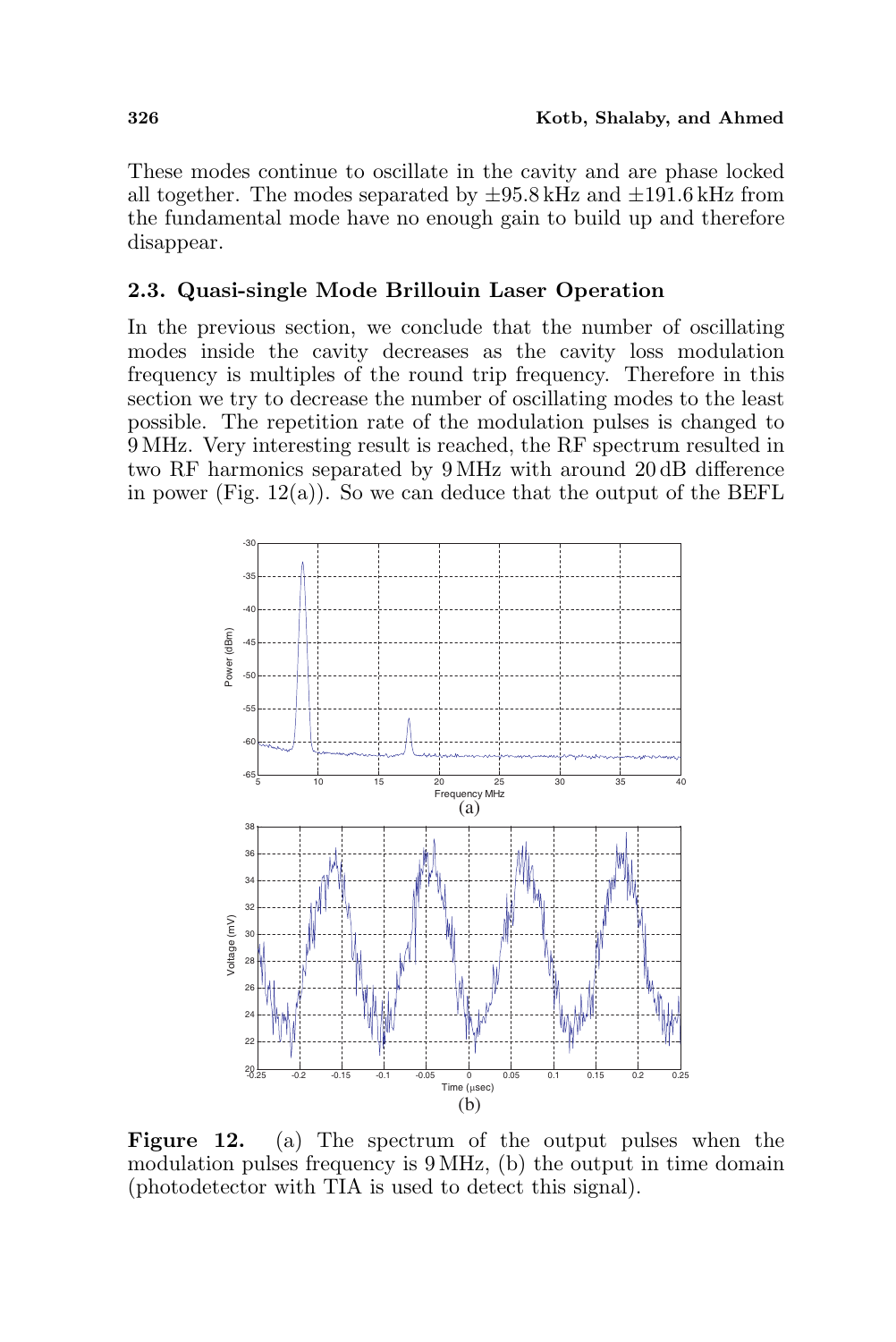These modes continue to oscillate in the cavity and are phase locked all together. The modes separated by  $\pm 95.8$  kHz and  $\pm 191.6$  kHz from the fundamental mode have no enough gain to build up and therefore disappear.

# 2.3. Quasi-single Mode Brillouin Laser Operation

In the previous section, we conclude that the number of oscillating modes inside the cavity decreases as the cavity loss modulation frequency is multiples of the round trip frequency. Therefore in this section we try to decrease the number of oscillating modes to the least possible. The repetition rate of the modulation pulses is changed to 9 MHz. Very interesting result is reached, the RF spectrum resulted in two RF harmonics separated by 9 MHz with around 20 dB difference in power (Fig.  $12(a)$ ). So we can deduce that the output of the BEFL



Figure 12. (a) The spectrum of the output pulses when the modulation pulses frequency is 9 MHz, (b) the output in time domain (photodetector with TIA is used to detect this signal).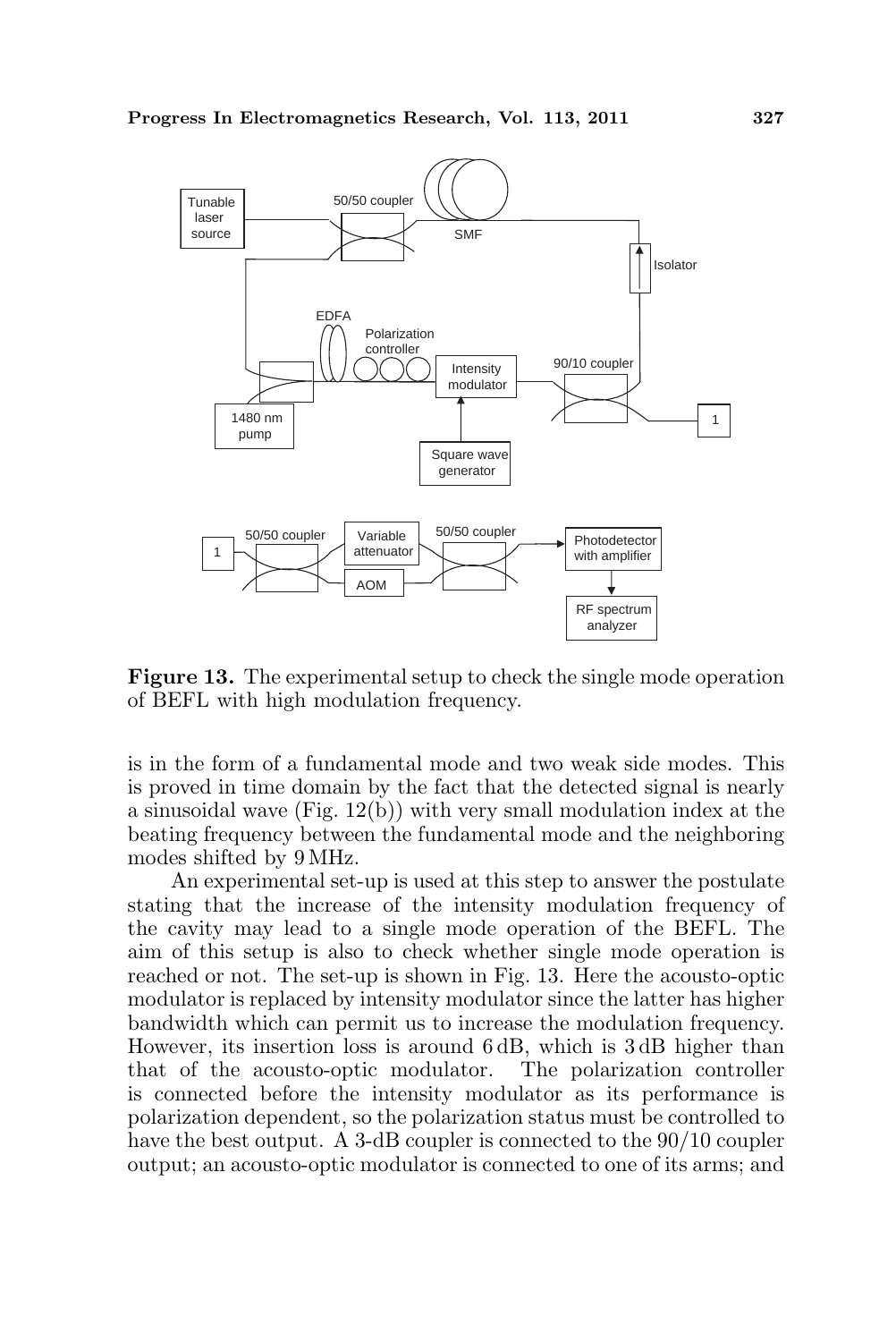

Figure 13. The experimental setup to check the single mode operation of BEFL with high modulation frequency.

is in the form of a fundamental mode and two weak side modes. This is proved in time domain by the fact that the detected signal is nearly a sinusoidal wave (Fig. 12(b)) with very small modulation index at the beating frequency between the fundamental mode and the neighboring modes shifted by 9 MHz.

An experimental set-up is used at this step to answer the postulate stating that the increase of the intensity modulation frequency of the cavity may lead to a single mode operation of the BEFL. The aim of this setup is also to check whether single mode operation is reached or not. The set-up is shown in Fig. 13. Here the acousto-optic modulator is replaced by intensity modulator since the latter has higher bandwidth which can permit us to increase the modulation frequency. However, its insertion loss is around 6 dB, which is 3 dB higher than that of the acousto-optic modulator. The polarization controller is connected before the intensity modulator as its performance is polarization dependent, so the polarization status must be controlled to have the best output. A 3-dB coupler is connected to the 90/10 coupler output; an acousto-optic modulator is connected to one of its arms; and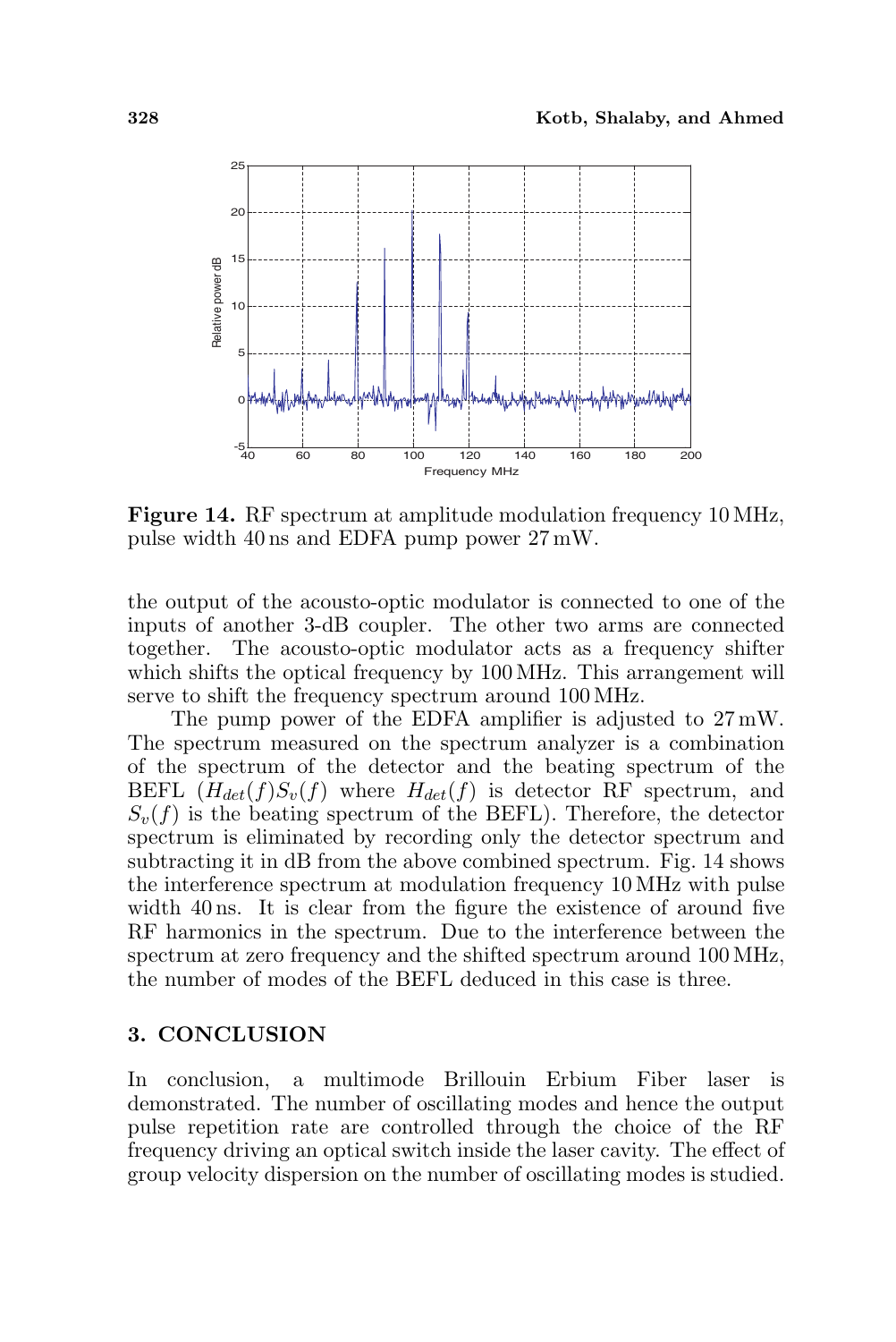

Figure 14. RF spectrum at amplitude modulation frequency 10 MHz, pulse width 40 ns and EDFA pump power 27 mW.

the output of the acousto-optic modulator is connected to one of the inputs of another 3-dB coupler. The other two arms are connected together. The acousto-optic modulator acts as a frequency shifter which shifts the optical frequency by  $100 \text{ MHz}$ . This arrangement will serve to shift the frequency spectrum around 100 MHz.

The pump power of the EDFA amplifier is adjusted to 27 mW. The spectrum measured on the spectrum analyzer is a combination of the spectrum of the detector and the beating spectrum of the BEFL  $(H_{det}(f)S_v(f)$  where  $H_{det}(f)$  is detector RF spectrum, and  $S_v(f)$  is the beating spectrum of the BEFL). Therefore, the detector spectrum is eliminated by recording only the detector spectrum and subtracting it in dB from the above combined spectrum. Fig. 14 shows the interference spectrum at modulation frequency 10 MHz with pulse width 40 ns. It is clear from the figure the existence of around five RF harmonics in the spectrum. Due to the interference between the spectrum at zero frequency and the shifted spectrum around 100 MHz, the number of modes of the BEFL deduced in this case is three.

#### 3. CONCLUSION

In conclusion, a multimode Brillouin Erbium Fiber laser is demonstrated. The number of oscillating modes and hence the output pulse repetition rate are controlled through the choice of the RF frequency driving an optical switch inside the laser cavity. The effect of group velocity dispersion on the number of oscillating modes is studied.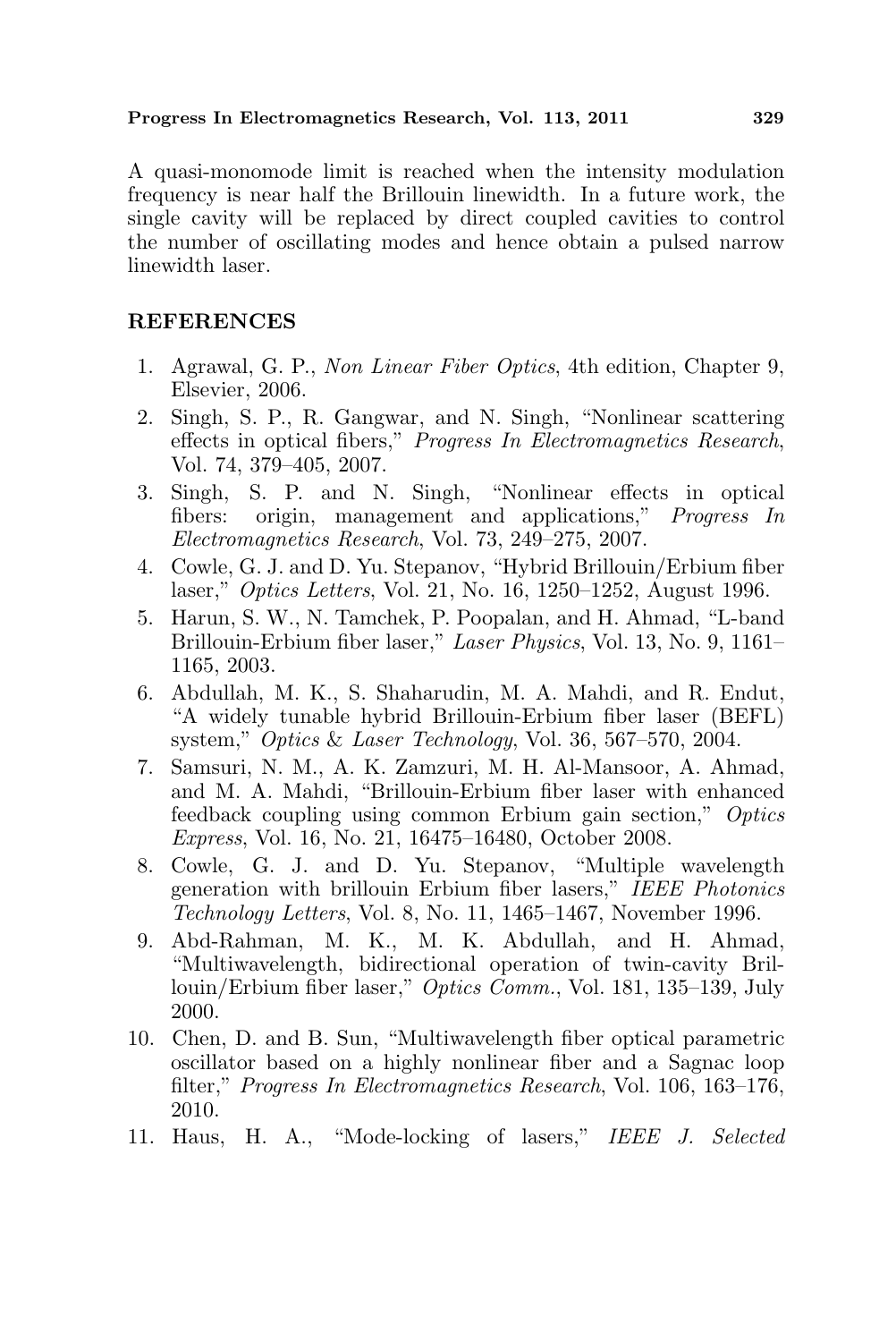A quasi-monomode limit is reached when the intensity modulation frequency is near half the Brillouin linewidth. In a future work, the single cavity will be replaced by direct coupled cavities to control the number of oscillating modes and hence obtain a pulsed narrow linewidth laser.

### REFERENCES

- 1. Agrawal, G. P., Non Linear Fiber Optics, 4th edition, Chapter 9, Elsevier, 2006.
- 2. Singh, S. P., R. Gangwar, and N. Singh, "Nonlinear scattering effects in optical fibers," Progress In Electromagnetics Research, Vol. 74, 379–405, 2007.
- 3. Singh, S. P. and N. Singh, "Nonlinear effects in optical fibers: origin, management and applications," Progress In Electromagnetics Research, Vol. 73, 249–275, 2007.
- 4. Cowle, G. J. and D. Yu. Stepanov, "Hybrid Brillouin/Erbium fiber laser," Optics Letters, Vol. 21, No. 16, 1250–1252, August 1996.
- 5. Harun, S. W., N. Tamchek, P. Poopalan, and H. Ahmad, "L-band Brillouin-Erbium fiber laser," Laser Physics, Vol. 13, No. 9, 1161– 1165, 2003.
- 6. Abdullah, M. K., S. Shaharudin, M. A. Mahdi, and R. Endut, "A widely tunable hybrid Brillouin-Erbium fiber laser (BEFL) system," Optics & Laser Technology, Vol. 36, 567–570, 2004.
- 7. Samsuri, N. M., A. K. Zamzuri, M. H. Al-Mansoor, A. Ahmad, and M. A. Mahdi, "Brillouin-Erbium fiber laser with enhanced feedback coupling using common Erbium gain section," Optics Express, Vol. 16, No. 21, 16475–16480, October 2008.
- 8. Cowle, G. J. and D. Yu. Stepanov, "Multiple wavelength generation with brillouin Erbium fiber lasers," IEEE Photonics Technology Letters, Vol. 8, No. 11, 1465–1467, November 1996.
- 9. Abd-Rahman, M. K., M. K. Abdullah, and H. Ahmad, "Multiwavelength, bidirectional operation of twin-cavity Brillouin/Erbium fiber laser," Optics Comm., Vol. 181, 135–139, July 2000.
- 10. Chen, D. and B. Sun, "Multiwavelength fiber optical parametric oscillator based on a highly nonlinear fiber and a Sagnac loop filter," Progress In Electromagnetics Research, Vol. 106, 163–176, 2010.
- 11. Haus, H. A., "Mode-locking of lasers," IEEE J. Selected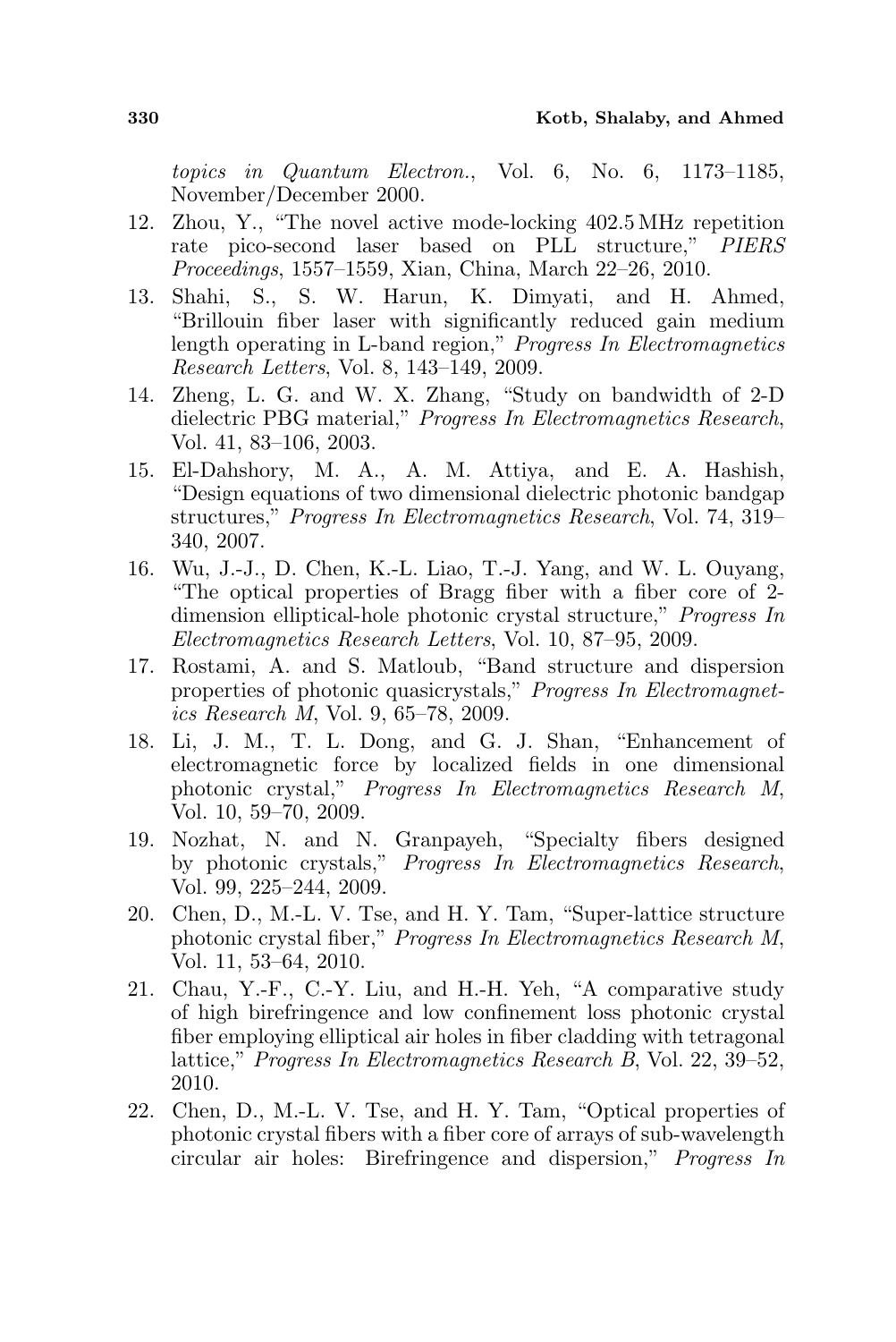topics in Quantum Electron., Vol. 6, No. 6, 1173–1185, November/December 2000.

- 12. Zhou, Y., "The novel active mode-locking 402.5 MHz repetition rate pico-second laser based on PLL structure," PIERS Proceedings, 1557–1559, Xian, China, March 22–26, 2010.
- 13. Shahi, S., S. W. Harun, K. Dimyati, and H. Ahmed, "Brillouin fiber laser with significantly reduced gain medium length operating in L-band region," Progress In Electromagnetics Research Letters, Vol. 8, 143–149, 2009.
- 14. Zheng, L. G. and W. X. Zhang, "Study on bandwidth of 2-D dielectric PBG material," Progress In Electromagnetics Research, Vol. 41, 83–106, 2003.
- 15. El-Dahshory, M. A., A. M. Attiya, and E. A. Hashish, "Design equations of two dimensional dielectric photonic bandgap structures," Progress In Electromagnetics Research, Vol. 74, 319– 340, 2007.
- 16. Wu, J.-J., D. Chen, K.-L. Liao, T.-J. Yang, and W. L. Ouyang, "The optical properties of Bragg fiber with a fiber core of 2 dimension elliptical-hole photonic crystal structure," Progress In Electromagnetics Research Letters, Vol. 10, 87–95, 2009.
- 17. Rostami, A. and S. Matloub, "Band structure and dispersion properties of photonic quasicrystals," Progress In Electromagnetics Research M, Vol. 9, 65–78, 2009.
- 18. Li, J. M., T. L. Dong, and G. J. Shan, "Enhancement of electromagnetic force by localized fields in one dimensional photonic crystal," Progress In Electromagnetics Research M, Vol. 10, 59–70, 2009.
- 19. Nozhat, N. and N. Granpayeh, "Specialty fibers designed by photonic crystals," Progress In Electromagnetics Research, Vol. 99, 225–244, 2009.
- 20. Chen, D., M.-L. V. Tse, and H. Y. Tam, "Super-lattice structure photonic crystal fiber," Progress In Electromagnetics Research M, Vol. 11, 53–64, 2010.
- 21. Chau, Y.-F., C.-Y. Liu, and H.-H. Yeh, "A comparative study of high birefringence and low confinement loss photonic crystal fiber employing elliptical air holes in fiber cladding with tetragonal lattice," Progress In Electromagnetics Research B, Vol. 22, 39–52, 2010.
- 22. Chen, D., M.-L. V. Tse, and H. Y. Tam, "Optical properties of photonic crystal fibers with a fiber core of arrays of sub-wavelength circular air holes: Birefringence and dispersion," Progress In